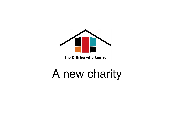

#### **The D'Urberville Centre**

#### A new charity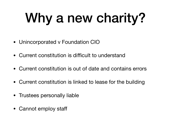## Why a new charity?

- Unincorporated v Foundation CIO
- Current constitution is difficult to understand
- Current constitution is out of date and contains errors
- Current constitution is linked to lease for the building
- Trustees personally liable
- Cannot employ staff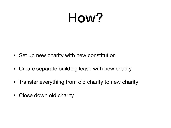### How?

- Set up new charity with new constitution
- Create separate building lease with new charity
- Transfer everything from old charity to new charity
- Close down old charity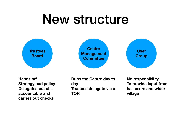#### New structure



**Hands off Strategy and policy Delegates but still accountable and carries out checks** 

**Runs the Centre day to day Trustees delegate via a TOR** 

**No responsibility To provide input from hall users and wider village**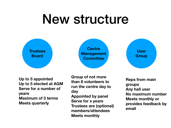#### New structure



**Up to 5 appointed Up to 5 elected at AGM Serve for a number of years Maximum of 3 terms Meets quarterly**

**Group of not more than 8 volunteers to run the centre day to day Appointed by panel Serve for x years Trustees are (optional) members/attendees Meets monthly**

**Reps from main groups Any hall user No maximum number Meets monthly or provides feedback by email**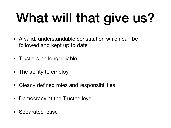# What will that give us?

- A valid, understandable constitution which can be followed and kept up to date
- Trustees no longer liable
- The ability to employ
- Clearly defined roles and responsibilities
- Democracy at the Trustee level
- Separated lease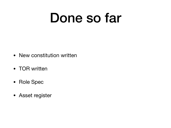### Done so far

- New constitution written
- TOR written
- Role Spec
- Asset register